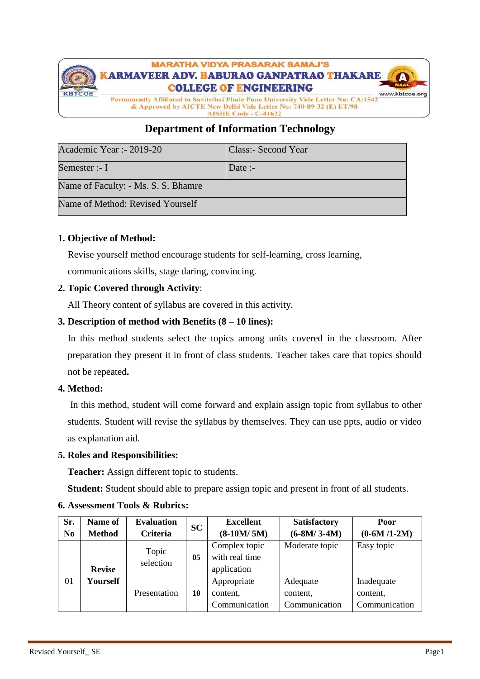

# **Department of Information Technology**

| Academic Year :- 2019-20            | Class:- Second Year |
|-------------------------------------|---------------------|
| Semester :- I                       | Date :-             |
| Name of Faculty: - Ms. S. S. Bhamre |                     |
| Name of Method: Revised Yourself    |                     |

## **1. Objective of Method:**

Revise yourself method encourage students for self-learning, cross learning, communications skills, stage daring, convincing.

## **2. Topic Covered through Activity**:

All Theory content of syllabus are covered in this activity.

## **3. Description of method with Benefits (8 – 10 lines):**

In this method students select the topics among units covered in the classroom. After preparation they present it in front of class students. Teacher takes care that topics should not be repeated**.**

#### **4. Method:**

In this method, student will come forward and explain assign topic from syllabus to other students. Student will revise the syllabus by themselves. They can use ppts, audio or video as explanation aid.

#### **5. Roles and Responsibilities:**

**Teacher:** Assign different topic to students.

**Student:** Student should able to prepare assign topic and present in front of all students.

| Sr.            | Name of       | <b>Evaluation</b>  | <b>SC</b> | <b>Excellent</b> | <b>Satisfactory</b> | Poor          |
|----------------|---------------|--------------------|-----------|------------------|---------------------|---------------|
| N <sub>0</sub> | <b>Method</b> | Criteria           |           | $(8-10M/5M)$     | $(6-8M/3-4M)$       | $(0-6M/1-2M)$ |
|                |               |                    |           | Complex topic    | Moderate topic      | Easy topic    |
|                |               | Topic<br>selection | 05        | with real time   |                     |               |
|                | <b>Revise</b> |                    |           | application      |                     |               |
| 01             | Yourself      |                    |           | Appropriate      | Adequate            | Inadequate    |
|                |               | Presentation       | 10        | content,         | content,            | content,      |
|                |               |                    |           | Communication    | Communication       | Communication |

#### **6. Assessment Tools & Rubrics:**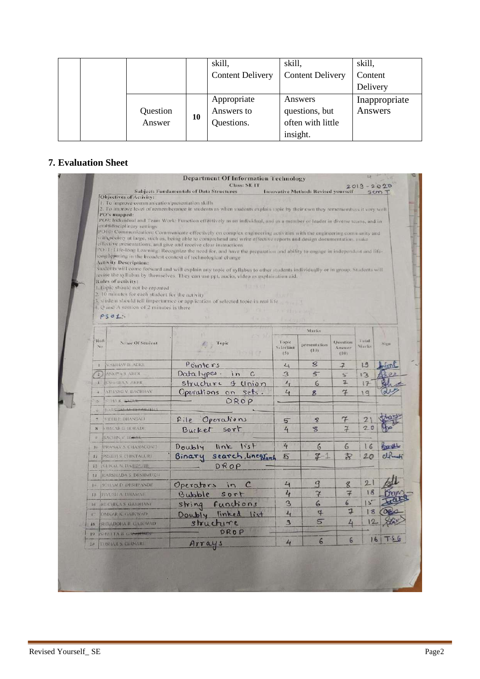|                    |    | skill,                                  | skill,                                                     | skill,                   |
|--------------------|----|-----------------------------------------|------------------------------------------------------------|--------------------------|
|                    |    | <b>Content Delivery</b>                 | <b>Content Delivery</b>                                    | Content                  |
|                    |    |                                         |                                                            | Delivery                 |
| Question<br>Answer | 10 | Appropriate<br>Answers to<br>Questions. | Answers<br>questions, but<br>often with little<br>insight. | Inappropriate<br>Answers |

## **7. Evaluation Sheet**

|                         |                                                                                                                                                                              | <b>Department Of Information Technology</b>                                                                                                                                              |                    |                                            |                           |               |         |  |  |  |  |  |
|-------------------------|------------------------------------------------------------------------------------------------------------------------------------------------------------------------------|------------------------------------------------------------------------------------------------------------------------------------------------------------------------------------------|--------------------|--------------------------------------------|---------------------------|---------------|---------|--|--|--|--|--|
|                         |                                                                                                                                                                              | <b>Class: SE IT</b><br><b>Subject: Fundamentals of Data Structures</b>                                                                                                                   |                    | <b>Innovative Method: Revised yourself</b> |                           | $2019 - 2020$ | sem T   |  |  |  |  |  |
|                         | Objectives of Activity:                                                                                                                                                      |                                                                                                                                                                                          |                    |                                            |                           |               |         |  |  |  |  |  |
|                         | 1. To improve communication/presentation skills<br>2. To improve level of rememberance in students as when students explain topic by their own they rememembers it very well |                                                                                                                                                                                          |                    |                                            |                           |               |         |  |  |  |  |  |
| PO's mapped:            |                                                                                                                                                                              |                                                                                                                                                                                          |                    |                                            |                           |               |         |  |  |  |  |  |
|                         | multidisciplinary settings                                                                                                                                                   | PO9: Individual and Team Work: Function effectively as an individual, and as a member or leader in diverse teams, and in                                                                 |                    |                                            |                           |               |         |  |  |  |  |  |
|                         |                                                                                                                                                                              | PO10: Communication: Communicate effectively on complex engineering activities with the engineering community and                                                                        |                    |                                            |                           |               |         |  |  |  |  |  |
|                         |                                                                                                                                                                              | with society at large, such as, being able to comprehend and write effective reports and design documentation, make<br>effective presentations, and give and receive clear instructions. |                    |                                            |                           |               |         |  |  |  |  |  |
|                         |                                                                                                                                                                              | PO11: Life-long Learning: Recognize the need for, and have the preparation and ability to engage in independent and life-                                                                |                    |                                            |                           |               |         |  |  |  |  |  |
|                         | <b>Activity Description:</b>                                                                                                                                                 | long learning in the broadest context of technological change.                                                                                                                           |                    |                                            |                           |               |         |  |  |  |  |  |
|                         |                                                                                                                                                                              | Students will come forward and will explain any topic of syllabus to other students individually or in group. Students will                                                              |                    |                                            |                           |               |         |  |  |  |  |  |
|                         | Rules of activity:                                                                                                                                                           | revise the syllabus by themselves. They can use ppt, audio, video as explaination aid.                                                                                                   |                    |                                            |                           |               |         |  |  |  |  |  |
|                         | 1. Topic should not be repeated                                                                                                                                              | <b>La Del</b>                                                                                                                                                                            |                    |                                            |                           |               |         |  |  |  |  |  |
|                         | 2. 10 minutes for each student for the activity                                                                                                                              | 3. student should tell importantice or application of selected topic in real life                                                                                                        |                    |                                            |                           |               |         |  |  |  |  |  |
|                         | $\pm$ , $Q$ and A session of 2 minutes is there                                                                                                                              |                                                                                                                                                                                          |                    |                                            |                           |               |         |  |  |  |  |  |
|                         | $PSO1$ :                                                                                                                                                                     |                                                                                                                                                                                          |                    |                                            |                           |               |         |  |  |  |  |  |
|                         |                                                                                                                                                                              |                                                                                                                                                                                          |                    | Marks                                      |                           |               |         |  |  |  |  |  |
|                         | Roll                                                                                                                                                                         |                                                                                                                                                                                          |                    |                                            |                           | i otal        |         |  |  |  |  |  |
|                         | Name Of Student<br>No.                                                                                                                                                       | Topic                                                                                                                                                                                    | Topic<br>Selection | presentation<br>(10)                       | <b>Ouestion</b><br>Answer | Marks         | Sign    |  |  |  |  |  |
|                         |                                                                                                                                                                              |                                                                                                                                                                                          | (5)                |                                            | t101                      |               |         |  |  |  |  |  |
| $\mathbf{L}$            | VAHHAV B ADKE                                                                                                                                                                | Pointers                                                                                                                                                                                 | $L_1$              | 8                                          | $\overline{f}$            | 19            |         |  |  |  |  |  |
| Э                       | ANKITH'S AHER                                                                                                                                                                | Data types.<br>i <sub>n</sub><br>$\overline{c}$                                                                                                                                          | 3                  | $5^{-}$                                    | $5^{\circ}$               | 13            |         |  |  |  |  |  |
| i T                     | <b>ICSHITIDA S: ANTER</b>                                                                                                                                                    | structure & Union                                                                                                                                                                        | $L_{1}$            | 6                                          | $7 -$                     | 17            |         |  |  |  |  |  |
| ×                       | ATITANG V BACHHAV                                                                                                                                                            | Operations on sets.                                                                                                                                                                      | 4                  | 8                                          | 7                         | 19            |         |  |  |  |  |  |
| $\mathcal{B}$           | <b>SHAR RAGIN-</b>                                                                                                                                                           | DROP                                                                                                                                                                                     |                    |                                            |                           |               |         |  |  |  |  |  |
| 166                     | <b>DARSIM.M. BEDMUTH</b>                                                                                                                                                     |                                                                                                                                                                                          |                    |                                            |                           |               |         |  |  |  |  |  |
|                         | <b>NTOHLP. BHANSALL</b>                                                                                                                                                      | Operations<br>File                                                                                                                                                                       | $5\overline{}$     | $\mathcal{S}$                              | 7                         | 2             |         |  |  |  |  |  |
| $\overline{\mathbf{x}}$ | <b>IOMEAR C. BORADE</b>                                                                                                                                                      | sort<br>Bucket                                                                                                                                                                           | 4                  | $\mathbb{Z}$                               | $\boldsymbol{z}$          | 20            |         |  |  |  |  |  |
|                         | <b>SACHIN V. BOHSE</b>                                                                                                                                                       |                                                                                                                                                                                          |                    |                                            |                           |               |         |  |  |  |  |  |
|                         | <b>IO IPRANAV S. CHANAGONE</b>                                                                                                                                               | $link$ list<br>Doubly                                                                                                                                                                    | 4                  | 6                                          | 6                         | 16            | بالمريد |  |  |  |  |  |
|                         | 11 IPREETLS CHINTALURI                                                                                                                                                       | search, linegrant<br>Binary                                                                                                                                                              | 5                  | $7 - 1$                                    | R                         | $20^{1}$      | cl.     |  |  |  |  |  |
| 13                      | KUNAL N. DASHPUTE                                                                                                                                                            | DROP                                                                                                                                                                                     |                    |                                            |                           |               |         |  |  |  |  |  |
| 主义                      | <b>EARSHADA S DESHMUKH</b>                                                                                                                                                   |                                                                                                                                                                                          |                    |                                            |                           |               |         |  |  |  |  |  |
|                         | <b>14 SCELAM D. DESHPANDE</b>                                                                                                                                                | Operators<br>$\mathcal C$<br>$\overline{1}$                                                                                                                                              | $\overline{4}$     | 9                                          | g                         | 21            |         |  |  |  |  |  |
| 15                      | PIYUSH A DHAMNE                                                                                                                                                              | Bubble<br>sort                                                                                                                                                                           | 4                  | $\overline{r}$                             | $\overline{\mathcal{F}}$  | 18            |         |  |  |  |  |  |
| 16                      | RUCHIKA'S GAIDHAND                                                                                                                                                           | string functions                                                                                                                                                                         | $^{\circ}$         | 6                                          | 6                         | I S           |         |  |  |  |  |  |
| 眉                       | <b>OMKARK GAIRWAD</b>                                                                                                                                                        | Doubly linked list                                                                                                                                                                       | 4                  | 4                                          | Į,                        | 18            |         |  |  |  |  |  |
|                         | <b>SHRADDHA R GAIKWAD</b>                                                                                                                                                    | structure                                                                                                                                                                                | $\mathbf{B}$       | $\overline{\mathbb{S}}$                    | $\mathcal{L}_1$           |               |         |  |  |  |  |  |
| 18                      | ISHWI TA B CASSINOP                                                                                                                                                          | DROP                                                                                                                                                                                     |                    |                                            |                           |               |         |  |  |  |  |  |
|                         |                                                                                                                                                                              |                                                                                                                                                                                          | 4                  | $\boldsymbol{6}$                           | 6                         | 16            |         |  |  |  |  |  |
| $19 -$<br>田村            | TUSHAR S. GIRNARE                                                                                                                                                            | Arrays                                                                                                                                                                                   |                    |                                            |                           |               |         |  |  |  |  |  |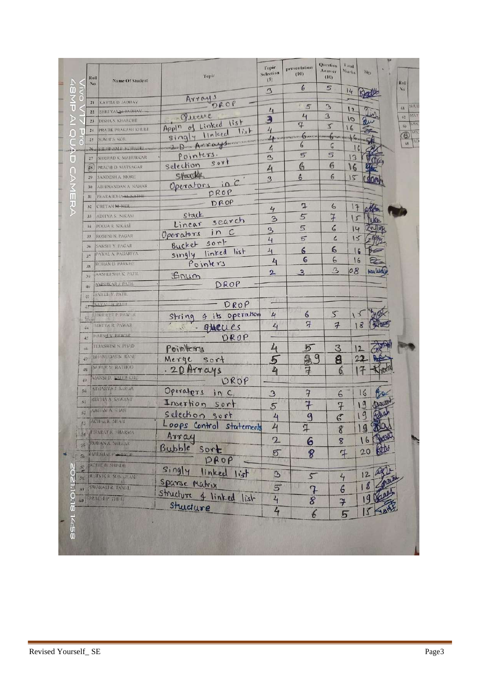| P                   | Holl<br>No.     | Name Of Student               | Topic                        | <b>Topic</b><br>Selection<br>(5) | presentation<br>(10)      | Question<br>Answer<br>(10)  | tutal<br><b>Marks</b> | Sign.                       |                    | Roll <sup>1</sup> |
|---------------------|-----------------|-------------------------------|------------------------------|----------------------------------|---------------------------|-----------------------------|-----------------------|-----------------------------|--------------------|-------------------|
|                     |                 |                               |                              | $\mathcal{Z}$                    | 6                         | 5                           | 14                    | Scott                       |                    | Nu.               |
| aMP<br>$\mathbf{C}$ | 21              | <b>KAVITA D. JADHAV</b>       | Arrays<br>DROP               |                                  |                           |                             |                       |                             |                    |                   |
|                     | 22              | SHREYASA JADHAV               |                              | 4                                | 5                         | $\mathcal{D}_{\mathcal{A}}$ | 12                    | OW                          |                    | 61                |
|                     | 23              | DISHA S. KHARCHE              | - Queve                      | 3                                | $L_{1}$                   | $\mathbf{B}$                | 0                     |                             |                    | 62.               |
| P                   | 24              | PRATIK PRAKASH KHULI          | Appln of Linked list<br>list | $\mathcal{L}_{l}$                | $\mathcal{I}$             | $\overline{z}$              | 16                    |                             |                    | 63                |
| $\overline{C}$<br>c | 25 <sub>1</sub> | <b>SUMIT'S KOR</b>            | singly linked                | more adapta com                  |                           | <b>DANSON</b>               |                       |                             |                    | O<br>X6           |
|                     |                 | 26 SHUBHAMP KOTHARI           | Son Don Art ays means        | 4                                | 6                         | G                           |                       |                             |                    |                   |
| Ū                   | 27              | SHRIPAD K. MAHURKAR           | Pointers.<br>$S$ or          | B                                | 5                         | 5                           | 13                    |                             |                    |                   |
|                     | \$8             | PRACHLD. MATSAGAR             | selection                    | $\mathcal{L}_{1}$                | $\mathcal{C}$             | 6                           | 16                    |                             |                    |                   |
|                     | 29.             | SANDESH A MORE                | Stack                        | 3                                | 6                         | $\boldsymbol{6}$            | 15                    |                             |                    |                   |
|                     | 30              | <b>ABHINANDAN A NAHAR</b>     | Operators in C<br>PROP       |                                  |                           |                             |                       |                             |                    |                   |
|                     | 31              | PRARABDHA <del>AL NATHI</del> |                              |                                  |                           |                             |                       |                             |                    |                   |
| CAMERA              | 32              | CHETAN M-NER                  | DROP                         | 4                                | 7                         | 6                           | 17                    |                             | altim              |                   |
|                     | $33 -$          | <b>ADITYA'S NIKAM</b>         | stack<br>search              | $\mathbf{B}$                     | 5                         | 7                           | J                     |                             |                    |                   |
|                     | 34              | POOJA R NIKAM                 | Linear                       | $\mathbf{B}$                     | 5                         | 6                           |                       | 14                          | CANTER             |                   |
|                     | 35              | ROSHNI N. PAGAR               | Operators in C               | 4                                | 5                         | 6                           |                       | 15                          |                    |                   |
|                     | 36.             | <b>SAKSHI Y PAGAR</b>         | Bucket sort                  |                                  | $\epsilon$                | 6                           |                       | I G                         |                    |                   |
|                     | 37              | PAYAL A PAGARIYA              | singly linked list           | 4                                | 6                         | 6                           |                       |                             | $\frac{1}{2}$      |                   |
|                     | 38              | <b>ROHAN D PARKHE</b>         | Pointers                     | 4                                |                           |                             |                       | 16                          | $\trianglerighteq$ |                   |
|                     | 39.             | <b>AASHLESHA K. PATIL</b>     | Grum                         | 2                                | $\overline{3}$            | $\mathbf{B}$                | 08                    |                             | <b>Aculud</b>      |                   |
|                     | 40              | <b>AMSHKARA FATIL</b>         | DROP                         |                                  |                           |                             |                       |                             |                    |                   |
|                     | 鐵               | SAILEE V. PATH.               |                              |                                  |                           |                             |                       |                             |                    |                   |
|                     | 47              | <b>SAVALIA PATIL</b>          | DROP                         |                                  |                           |                             |                       |                             |                    |                   |
|                     | 纽               | ABRILIEFT P. PAW .R           | 4 its operation<br>String    | 4                                | $\epsilon$                | 5                           |                       | $\mathcal{L}_{\mathcal{L}}$ |                    |                   |
|                     | 44              | <b>MATYAR PAWAR</b>           | gtacues                      | 4                                | $\overline{\mathcal{F}}$  | $7 -$                       |                       | 18                          |                    |                   |
|                     |                 | <b>BARSH V PAWAR</b>          | DROP                         |                                  |                           |                             |                       |                             |                    |                   |
|                     | 45              | <b>TEJASWINI N. PHAD</b>      |                              |                                  |                           |                             |                       |                             |                    |                   |
|                     | 46              | <b>BHANDDAST RANE</b>         | Pointers                     | $\mathcal{L}_1$                  | 5                         | 3                           |                       | 12                          |                    |                   |
|                     | 47              | NUPER M RATHOD                | Merge<br>sort                | 5                                | 8                         | 9<br>$\mathbf{a}$           |                       | $^{22}$                     |                    |                   |
|                     | 撂               |                               | .20 Arrays                   | $\frac{1}{2}$                    | $\overline{4}$            |                             | 6                     | 17                          |                    |                   |
|                     | 49              | MANSLE, SALUNGHE              | DROP                         |                                  |                           |                             |                       |                             |                    |                   |
|                     | 50              | <b>ATHARVA J. SARVA</b>       | Operators in C               | $\mathbf{B}$                     | $\overline{f}$            |                             | 6                     | 16                          | Place              |                   |
| 51                  |                 | <b>CUCHA A SAWANT</b>         | Insertion sort               |                                  | 7                         |                             | $\overline{\tau}$     | $\overline{9}$              | Dawn               |                   |
| 52                  |                 | <b>IMAIL A MAGAZI</b>         | selection sort               | 5                                | $\mathbf{a}$              |                             |                       | 9                           | Albah              |                   |
| 53                  |                 | SCHALK MIAH                   | Loops Control statements     | 4                                |                           | $\mathcal{C}$               |                       |                             |                    |                   |
| 34                  |                 | <b>HIARATK HARMA</b>          |                              | $\frac{1}{4}$                    | $\downarrow$              |                             | 8                     |                             | 9 80               |                   |
|                     |                 | <b>POHAN A SHELAR</b>         | Array                        | $\mathbf{2}$                     | <u>6</u>                  |                             | $\bf g$               |                             | 16 Proces          |                   |
| 酒                   |                 | HARSHAL PARKER                | Bubble<br>sort               | 5                                | 8                         |                             | 7                     | 20                          | <b>BN</b>          |                   |
| $\overline{50}$     |                 |                               | DROP                         |                                  |                           |                             |                       |                             |                    |                   |
| N<br>57             |                 | <b>REHILLER SHIPTER</b>       | singly<br>linked<br>15f      |                                  |                           |                             |                       |                             | BC                 |                   |
| 58                  |                 | RUTVIK R SON WANT             |                              | $\mathcal{P}$                    | $\mathsf{S}^{\mathsf{r}}$ |                             | $4\overline{ }$       | 12                          | paul               |                   |
| 59                  |                 | SWARALLE TANKU                | Sparse Matrix                | 5                                |                           |                             | G                     | 18                          |                    |                   |
| 60                  |                 | PRACHEP THEFT                 | structure of linked list     | $4\overline{6}$                  | $rac{7}{8}$               |                             | 7                     | $\overline{9}$              |                    |                   |
| 0.18 14:58          |                 |                               | Structure                    | 4                                |                           |                             |                       |                             |                    |                   |
|                     |                 |                               |                              |                                  | $\epsilon$                |                             | 5                     | IS                          |                    |                   |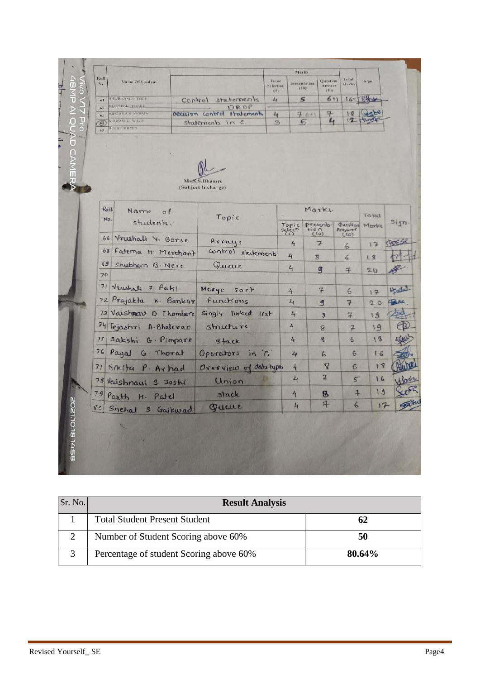| Roll<br>$\mathbf{N}$ | Name Of Student                        |            |                                     | Topic<br><b>Selection</b><br>(5) | presentation                | CDB                     | <b>Question</b><br>Answer<br>(10) | <b>Lutal</b><br>Marks    | Sign         |        |
|----------------------|----------------------------------------|------------|-------------------------------------|----------------------------------|-----------------------------|-------------------------|-----------------------------------|--------------------------|--------------|--------|
| 61                   | <b>SHUBHAM A THOK</b>                  | Control    | statements                          | $\lambda_{\rm I}$                |                             | $\boldsymbol{5}$        | $6 + 1$                           |                          | 165 8that    |        |
| 62                   | <b>MAYORAL DEALE</b><br>MEGHNA S VERMA |            | DROP<br>pecision control statements | 4                                |                             | 7611                    | 子                                 | R                        | <b>Casts</b> |        |
| 63<br>$\circledcirc$ | MANASI D. WAGH<br><b>ROHLL SHIMPL</b>  |            | statements in c                     | $\mathcal{D}_{\mathcal{A}}$      |                             | 65                      | $L_{1}$                           |                          | 12 Hours     |        |
|                      |                                        |            | Ms.S.S.Bhamre<br>(Subject Incharge) |                                  |                             |                         |                                   |                          |              |        |
|                      | $R_0$<br>Name<br>$\circ f$             |            | Topic                               |                                  |                             |                         | Marks.                            |                          | Total        |        |
| NO.                  | students.                              |            |                                     |                                  | Topic<br>selech             |                         | Prescrita-                        | guestion<br>Answer       | Marks        | sign.  |
|                      | 66 Vrushali 4. Borse                   |            | Arrays                              |                                  | 4                           |                         | $7 -$                             | 6                        | 17           | BOE Se |
|                      | 68 Faterna H: Merchant                 |            | control statements                  |                                  | 4                           | $\overline{\mathbf{z}}$ |                                   | 6                        | 18           |        |
| 69<br>70             | shubham B. Nere                        |            | Queue                               |                                  | 4                           |                         | g                                 | $\overline{4}$           | 20           |        |
|                      | 71 Vrushali I. Patil                   |            | Merge<br>Sor F                      |                                  | $4\overline{ }$             |                         | $7 -$                             | 6                        | 17           | Hatel  |
|                      | 72 Prajakta K. Bankar                  |            | Functions                           |                                  | $\mathbf{z}_t$              |                         | 9                                 | $\tau$                   | 20           |        |
|                      | 73 Vaisharr D. Thombare                |            | Singly linked list                  |                                  | 4                           |                         | $\overline{\mathbf{3}}$           | $\tau$                   | 19           |        |
|                      | 74 Tejashri A. Bhalerao                |            | structure                           |                                  | 4                           |                         | 8                                 | $\overline{\mathcal{F}}$ | 19           |        |
| 75                   | sakshi                                 | G. Pimpare | stack                               |                                  | $\mathbf{z}_t$              |                         | g.                                | $\overline{6}$           | 18           |        |
|                      | 76 Payal G. Thorat                     |            | Operators in 'C'                    |                                  | 4                           |                         | $\mathsf{G}$                      | 6                        | 16           |        |
| 77                   | Nikita P. Arhad                        |            | Oresview of data types              |                                  | 4                           |                         | $\mathbf{8}$                      | 6                        | 19           |        |
|                      | 78 Vaishnauj S. Joshi                  |            | Union                               |                                  | $\mathcal{L}_{\mathcal{I}}$ |                         | $\overline{1}$                    | 5                        | 16           |        |
|                      | 79 Parth H. Patel                      |            | stack                               |                                  | 4                           |                         | $\mathbf{B}$                      | $\overline{1}$           | 19           |        |
|                      | 80 Snehal S. Gaikwad                   |            | Queue                               |                                  | $\mathcal{L}_{\mathbf{t}}$  |                         | 7                                 | $\epsilon$               | 17           |        |
|                      |                                        |            |                                     |                                  |                             |                         |                                   |                          |              |        |

| Sr. No. | <b>Result Analysis</b>                  |        |
|---------|-----------------------------------------|--------|
|         | <b>Total Student Present Student</b>    | 62     |
|         | Number of Student Scoring above 60%     | 50     |
|         | Percentage of student Scoring above 60% | 80.64% |